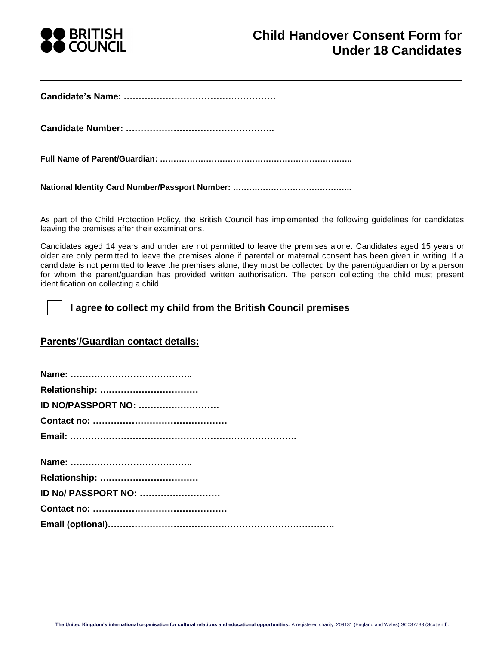

**Candidate's Name: ……………………………………………**

**Candidate Number: …………………………………………..**

**Full Name of Parent/Guardian: ……………………………………………………………..**

**National Identity Card Number/Passport Number: ……………………………………..**

As part of the Child Protection Policy, the British Council has implemented the following guidelines for candidates leaving the premises after their examinations.

Candidates aged 14 years and under are not permitted to leave the premises alone. Candidates aged 15 years or older are only permitted to leave the premises alone if parental or maternal consent has been given in writing. If a candidate is not permitted to leave the premises alone, they must be collected by the parent/guardian or by a person for whom the parent/guardian has provided written authorisation. The person collecting the child must present identification on collecting a child.

|  |  | I agree to collect my child from the British Council premises |  |  |  |
|--|--|---------------------------------------------------------------|--|--|--|
|--|--|---------------------------------------------------------------|--|--|--|

## **Parents'/Guardian contact details:**

| ID NO/PASSPORT NO:          |  |
|-----------------------------|--|
|                             |  |
|                             |  |
|                             |  |
|                             |  |
| <b>ID No/ PASSPORT NO: </b> |  |
|                             |  |
|                             |  |